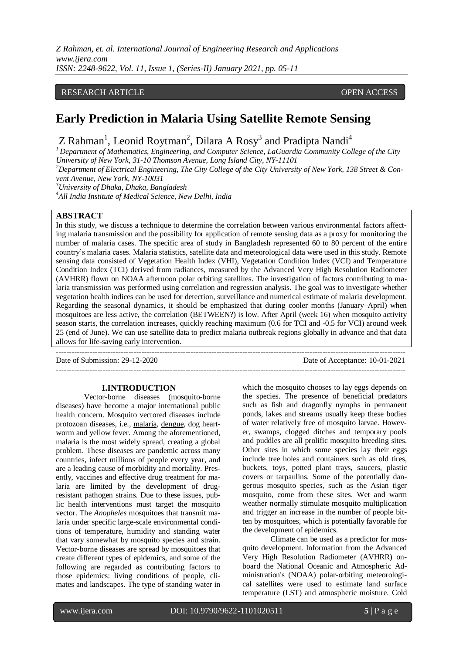*Z Rahman, et. al. International Journal of Engineering Research and Applications www.ijera.com ISSN: 2248-9622, Vol. 11, Issue 1, (Series-II) January 2021, pp. 05-11*

## RESEARCH ARTICLE **CONSERVERS** OPEN ACCESS

# **Early Prediction in Malaria Using Satellite Remote Sensing**

Z Rahman<sup>1</sup>, Leonid Roytman<sup>2</sup>, Dilara A Rosy<sup>3</sup> and Pradipta Nandi<sup>4</sup>

*<sup>1</sup> Department of Mathematics, Engineering, and Computer Science, LaGuardia Community College of the City University of New York, 31-10 Thomson Avenue, Long Island City, NY-11101*

<sup>2</sup>Department of Electrical Engineering, The City College of the City University of New York, 138 Street & Con*vent Avenue, New York, NY-10031*

*<sup>3</sup>University of Dhaka, Dhaka, Bangladesh*

*<sup>4</sup>All India Institute of Medical Science, New Delhi, India*

# **ABSTRACT**

In this study, we discuss a technique to determine the correlation between various environmental factors affecting malaria transmission and the possibility for application of remote sensing data as a proxy for monitoring the number of malaria cases. The specific area of study in Bangladesh represented 60 to 80 percent of the entire country's malaria cases. Malaria statistics, satellite data and meteorological data were used in this study. Remote sensing data consisted of Vegetation Health Index (VHI), Vegetation Condition Index (VCI) and Temperature Condition Index (TCI) derived from radiances, measured by the Advanced Very High Resolution Radiometer (AVHRR) flown on NOAA afternoon polar orbiting satellites. The investigation of factors contributing to malaria transmission was performed using correlation and regression analysis. The goal was to investigate whether vegetation health indices can be used for detection, surveillance and numerical estimate of malaria development. Regarding the seasonal dynamics, it should be emphasized that during cooler months (January–April) when mosquitoes are less active, the correlation (BETWEEN?) is low. After April (week 16) when mosquito activity season starts, the correlation increases, quickly reaching maximum (0.6 for TCI and -0.5 for VCI) around week 25 (end of June). We can use satellite data to predict malaria outbreak regions globally in advance and that data allows for life-saving early intervention.

---------------------------------------------------------------------------------------------------------------------------------------

---------------------------------------------------------------------------------------------------------------------------------------

Date of Submission: 29-12-2020 Date of Acceptance: 10-01-2021

#### **I.INTRODUCTION**

Vector-borne diseases (mosquito-borne diseases) have become a major international public health concern. Mosquito vectored diseases include protozoan diseases, i.e., [malaria,](http://www.who.int/health-topics/malaria.htm) [dengue,](http://www.who.int/health-topics/dengue.htm) dog heartworm and yellow fever. Among the aforementioned, malaria is the most widely spread, creating a global problem. These diseases are pandemic across many countries, infect millions of people every year, and are a leading cause of morbidity and mortality. Presently, vaccines and effective drug treatment for malaria are limited by the development of drugresistant pathogen strains. Due to these issues, public health interventions must target the mosquito vector. The *Anopheles* mosquitoes that transmit malaria under specific large-scale environmental conditions of temperature, humidity and standing water that vary somewhat by mosquito species and strain. Vector-borne diseases are spread by mosquitoes that create different types of epidemics, and some of the following are regarded as contributing factors to those epidemics: living conditions of people, climates and landscapes. The type of standing water in which the mosquito chooses to lay eggs depends on the species. The presence of beneficial predators such as fish and dragonfly nymphs in permanent ponds, lakes and streams usually keep these bodies of water relatively free of mosquito larvae. However, swamps, clogged ditches and temporary pools and puddles are all prolific mosquito breeding sites. Other sites in which some species lay their eggs include tree holes and containers such as old tires, buckets, toys, potted plant trays, saucers, plastic covers or tarpaulins. Some of the potentially dangerous mosquito species, such as the Asian tiger mosquito, come from these sites. Wet and warm weather normally stimulate mosquito multiplication and trigger an increase in the number of people bitten by mosquitoes, which is potentially favorable for the development of epidemics.

Climate can be used as a predictor for mosquito development. Information from the Advanced Very High Resolution Radiometer (AVHRR) onboard the National Oceanic and Atmospheric Administration's (NOAA) polar-orbiting meteorological satellites were used to estimate land surface temperature (LST) and atmospheric moisture. Cold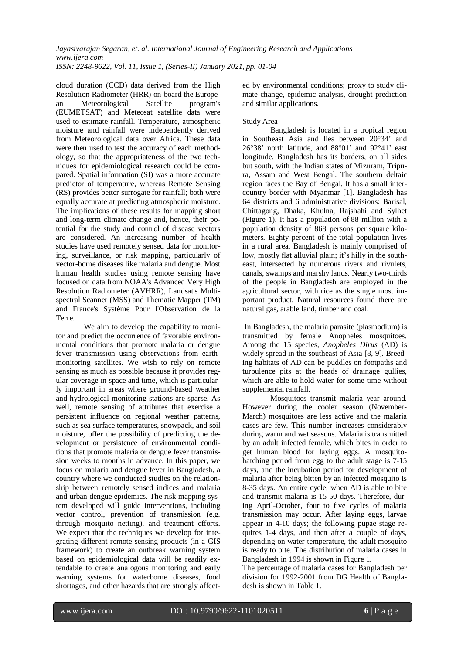cloud duration (CCD) data derived from the High Resolution Radiometer (HRR) on-board the European Meteorological Satellite program's (EUMETSAT) and Meteosat satellite data were used to estimate rainfall. Temperature, atmospheric moisture and rainfall were independently derived from Meteorological data over Africa. These data were then used to test the accuracy of each methodology, so that the appropriateness of the two techniques for epidemiological research could be compared. Spatial information (SI) was a more accurate predictor of temperature, whereas Remote Sensing (RS) provides better surrogate for rainfall; both were equally accurate at predicting atmospheric moisture. The implications of these results for mapping short and long-term climate change and, hence, their potential for the study and control of disease vectors are considered. An increasing number of health studies have used remotely sensed data for monitoring, surveillance, or risk mapping, particularly of vector-borne diseases like malaria and dengue. Most human health studies using remote sensing have focused on data from NOAA's Advanced Very High Resolution Radiometer (AVHRR), Landsat's Multispectral Scanner (MSS) and Thematic Mapper (TM) and France's Système Pour l'Observation de la Terre.

We aim to develop the capability to monitor and predict the occurrence of favorable environmental conditions that promote malaria or dengue fever transmission using observations from earthmonitoring satellites. We wish to rely on remote sensing as much as possible because it provides regular coverage in space and time, which is particularly important in areas where ground-based weather and hydrological monitoring stations are sparse. As well, remote sensing of attributes that exercise a persistent influence on regional weather patterns, such as sea surface temperatures, snowpack, and soil moisture, offer the possibility of predicting the development or persistence of environmental conditions that promote malaria or dengue fever transmission weeks to months in advance. In this paper, we focus on malaria and dengue fever in Bangladesh, a country where we conducted studies on the relationship between remotely sensed indices and malaria and urban dengue epidemics. The risk mapping system developed will guide interventions, including vector control, prevention of transmission (e.g. through mosquito netting), and treatment efforts. We expect that the techniques we develop for integrating different remote sensing products (in a GIS framework) to create an outbreak warning system based on epidemiological data will be readily extendable to create analogous monitoring and early warning systems for waterborne diseases, food shortages, and other hazards that are strongly affected by environmental conditions; proxy to study climate change, epidemic analysis, drought prediction and similar applications.

# Study Area

Bangladesh is located in a tropical region in Southeast Asia and lies between 20°34' and 26°38' north latitude, and 88°01' and 92°41' east longitude. Bangladesh has its borders, on all sides but south, with the Indian states of Mizuram, Tripura, Assam and West Bengal. The southern deltaic region faces the Bay of Bengal. It has a small intercountry border with Myanmar [1]. Bangladesh has 64 districts and 6 administrative divisions: Barisal, Chittagong, Dhaka, Khulna, Rajshahi and Sylhet (Figure 1). It has a population of 88 million with a population density of 868 persons per square kilometers. Eighty percent of the total population lives in a rural area. Bangladesh is mainly comprised of low, mostly flat alluvial plain; it's hilly in the southeast, intersected by numerous rivers and rivulets, canals, swamps and marshy lands. Nearly two-thirds of the people in Bangladesh are employed in the agricultural sector, with rice as the single most important product. Natural resources found there are natural gas, arable land, timber and coal.

In Bangladesh, the malaria parasite (plasmodium) is transmitted by female Anopheles mosquitoes. Among the 15 species, *Anopheles Dirus* (AD) is widely spread in the southeast of Asia [8, 9]. Breeding habitats of AD can be puddles on footpaths and turbulence pits at the heads of drainage gullies, which are able to hold water for some time without supplemental rainfall.

Mosquitoes transmit malaria year around. However during the cooler season (November-March) mosquitoes are less active and the malaria cases are few. This number increases considerably during warm and wet seasons. Malaria is transmitted by an adult infected female, which bites in order to get human blood for laying eggs. A mosquitohatching period from egg to the adult stage is 7-15 days, and the incubation period for development of malaria after being bitten by an infected mosquito is 8-35 days. An entire cycle, when AD is able to bite and transmit malaria is 15-50 days. Therefore, during April-October, four to five cycles of malaria transmission may occur. After laying eggs, larvae appear in 4-10 days; the following pupae stage requires 1-4 days, and then after a couple of days, depending on water temperature, the adult mosquito is ready to bite. The distribution of malaria cases in Bangladesh in 1994 is shown in Figure 1.

The percentage of malaria cases for Bangladesh per division for 1992-2001 from DG Health of Bangladesh is shown in Table 1.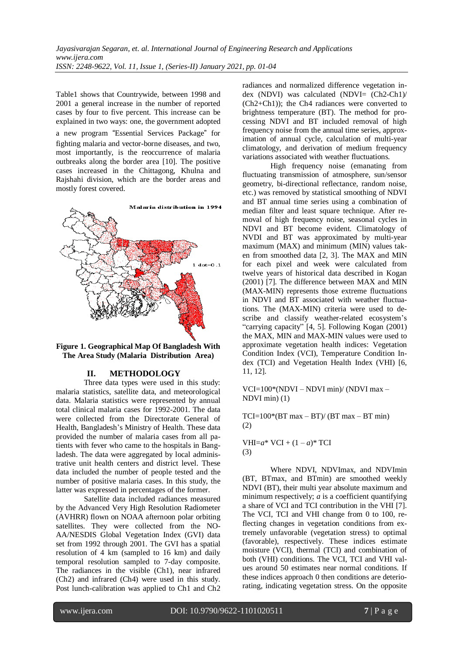Table1 shows that Countrywide, between 1998 and 2001 a general increase in the number of reported cases by four to five percent. This increase can be explained in two ways: one, the government adopted

a new program "Essential Services Package" for fighting malaria and vector-borne diseases, and two, most importantly, is the reoccurrence of malaria outbreaks along the border area [10]. The positive cases increased in the Chittagong, Khulna and Rajshahi division, which are the border areas and mostly forest covered.



**Figure 1. Geographical Map Of Bangladesh With The Area Study (Malaria Distribution Area)**

# **II. METHODOLOGY**

Three data types were used in this study: malaria statistics, satellite data, and meteorological data. Malaria statistics were represented by annual total clinical malaria cases for 1992-2001. The data were collected from the Directorate General of Health, Bangladesh's Ministry of Health. These data provided the number of malaria cases from all patients with fever who came to the hospitals in Bangladesh. The data were aggregated by local administrative unit health centers and district level. These data included the number of people tested and the number of positive malaria cases. In this study, the latter was expressed in percentages of the former.

Satellite data included radiances measured by the Advanced Very High Resolution Radiometer (AVHRR) flown on NOAA afternoon polar orbiting satellites. They were collected from the NO-AA/NESDIS Global Vegetation Index (GVI) data set from 1992 through 2001. The GVI has a spatial resolution of 4 km (sampled to 16 km) and daily temporal resolution sampled to 7-day composite. The radiances in the visible (Ch1), near infrared (Ch2) and infrared (Ch4) were used in this study. Post lunch-calibration was applied to Ch1 and Ch2

radiances and normalized difference vegetation index (NDVI) was calculated (NDVI= (Ch2-Ch1)/ (Ch2+Ch1)); the Ch4 radiances were converted to brightness temperature (BT). The method for processing NDVI and BT included removal of high frequency noise from the annual time series, approximation of annual cycle, calculation of multi-year climatology, and derivation of medium frequency variations associated with weather fluctuations.

High frequency noise (emanating from fluctuating transmission of atmosphere, sun/sensor geometry, bi-directional reflectance, random noise, etc.) was removed by statistical smoothing of NDVI and BT annual time series using a combination of median filter and least square technique. After removal of high frequency noise, seasonal cycles in NDVI and BT become evident. Climatology of NVDI and BT was approximated by multi-year maximum (MAX) and minimum (MIN) values taken from smoothed data [2, 3]. The MAX and MIN for each pixel and week were calculated from twelve years of historical data described in Kogan (2001) [7]. The difference between MAX and MIN (MAX-MIN) represents those extreme fluctuations in NDVI and BT associated with weather fluctuations. The (MAX-MIN) criteria were used to describe and classify weather-related ecosystem's "carrying capacity" [4, 5]. Following Kogan (2001) the MAX, MIN and MAX-MIN values were used to approximate vegetation health indices: Vegetation Condition Index (VCI), Temperature Condition Index (TCI) and Vegetation Health Index (VHI) [6, 11, 12].

VCI=100\*(NDVI – NDVI min)/ (NDVI max – NDVI min) (1)

 $TCI=100*(BT max - BT)/(BT max - BT min)$ (2)

VHI= $a^*$  VCI +  $(1 - a)^*$  TCI (3)

Where NDVI, NDVImax, and NDVImin (BT, BTmax, and BTmin) are smoothed weekly NDVI (BT), their multi year absolute maximum and minimum respectively; *a* is a coefficient quantifying a share of VCI and TCI contribution in the VHI [7]. The VCI, TCI and VHI change from 0 to 100, reflecting changes in vegetation conditions from extremely unfavorable (vegetation stress) to optimal (favorable), respectively. These indices estimate moisture (VCI), thermal (TCI) and combination of both (VHI) conditions. The VCI, TCI and VHI values around 50 estimates near normal conditions. If these indices approach 0 then conditions are deteriorating, indicating vegetation stress. On the opposite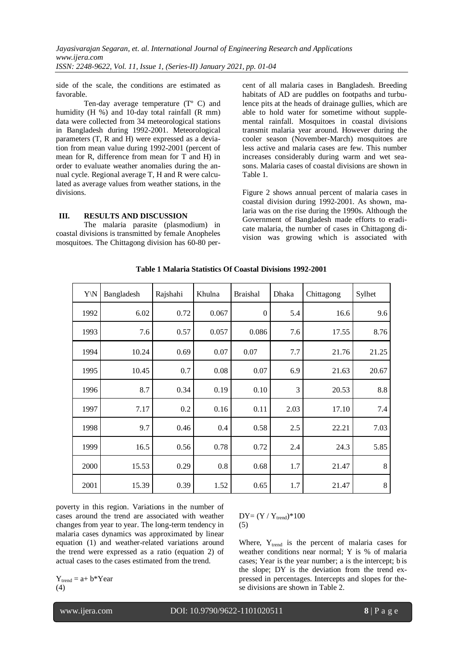side of the scale, the conditions are estimated as favorable.

Ten-day average temperature (Tº C) and humidity (H %) and 10-day total rainfall (R mm) data were collected from 34 meteorological stations in Bangladesh during 1992-2001. Meteorological parameters (T, R and H) were expressed as a deviation from mean value during 1992-2001 (percent of mean for R, difference from mean for T and H) in order to evaluate weather anomalies during the annual cycle. Regional average T, H and R were calculated as average values from weather stations, in the divisions.

### **III. RESULTS AND DISCUSSION**

The malaria parasite (plasmodium) in coastal divisions is transmitted by female Anopheles mosquitoes. The Chittagong division has 60-80 percent of all malaria cases in Bangladesh. Breeding habitats of AD are puddles on footpaths and turbulence pits at the heads of drainage gullies, which are able to hold water for sometime without supplemental rainfall. Mosquitoes in coastal divisions transmit malaria year around. However during the cooler season (November-March) mosquitoes are less active and malaria cases are few. This number increases considerably during warm and wet seasons. Malaria cases of coastal divisions are shown in Table 1.

Figure 2 shows annual percent of malaria cases in coastal division during 1992-2001. As shown, malaria was on the rise during the 1990s. Although the Government of Bangladesh made efforts to eradicate malaria, the number of cases in Chittagong division was growing which is associated with

| Y\N  | Bangladesh | Rajshahi | Khulna | <b>Braishal</b> | Dhaka | Chittagong | Sylhet  |
|------|------------|----------|--------|-----------------|-------|------------|---------|
| 1992 | 6.02       | 0.72     | 0.067  | $\theta$        | 5.4   | 16.6       | 9.6     |
| 1993 | 7.6        | 0.57     | 0.057  | 0.086           | 7.6   | 17.55      | 8.76    |
| 1994 | 10.24      | 0.69     | 0.07   | 0.07            | 7.7   | 21.76      | 21.25   |
| 1995 | 10.45      | 0.7      | 0.08   | 0.07            | 6.9   | 21.63      | 20.67   |
| 1996 | 8.7        | 0.34     | 0.19   | 0.10            | 3     | 20.53      | 8.8     |
| 1997 | 7.17       | 0.2      | 0.16   | 0.11            | 2.03  | 17.10      | 7.4     |
| 1998 | 9.7        | 0.46     | 0.4    | 0.58            | 2.5   | 22.21      | 7.03    |
| 1999 | 16.5       | 0.56     | 0.78   | 0.72            | 2.4   | 24.3       | 5.85    |
| 2000 | 15.53      | 0.29     | 0.8    | 0.68            | 1.7   | 21.47      | 8       |
| 2001 | 15.39      | 0.39     | 1.52   | 0.65            | 1.7   | 21.47      | $\,8\,$ |

**Table 1 Malaria Statistics Of Coastal Divisions 1992-2001**

poverty in this region. Variations in the number of cases around the trend are associated with weather changes from year to year. The long-term tendency in malaria cases dynamics was approximated by linear equation (1) and weather-related variations around the trend were expressed as a ratio (equation 2) of actual cases to the cases estimated from the trend.

 $Y_{trend} = a + b*Year$ (4)

 $DY = (Y / Y_{trend}) * 100$ (5)

Where, Y<sub>trend</sub> is the percent of malaria cases for weather conditions near normal; Y is % of malaria cases; Year is the year number; a is the intercept; b is the slope; DY is the deviation from the trend expressed in percentages. Intercepts and slopes for these divisions are shown in Table 2.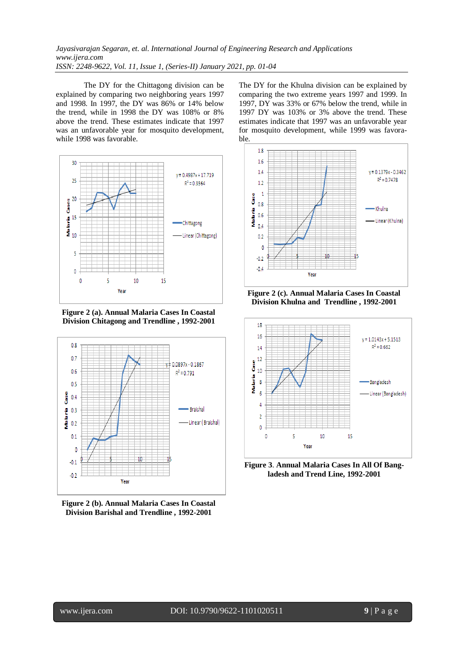The DY for the Chittagong division can be explained by comparing two neighboring years 1997 and 1998. In 1997, the DY was 86% or 14% below the trend, while in 1998 the DY was 108% or 8% above the trend. These estimates indicate that 1997 was an unfavorable year for mosquito development, while 1998 was favorable.



**Figure 2 (a). Annual Malaria Cases In Coastal Division Chitagong and Trendline , 1992-2001**



**Figure 2 (b). Annual Malaria Cases In Coastal Division Barishal and Trendline , 1992-2001**

The DY for the Khulna division can be explained by comparing the two extreme years 1997 and 1999. In 1997, DY was 33% or 67% below the trend, while in 1997 DY was 103% or 3% above the trend. These estimates indicate that 1997 was an unfavorable year for mosquito development, while 1999 was favorable.



**Figure 2 (c). Annual Malaria Cases In Coastal Division Khulna and Trendline , 1992-2001**



**Figure 3**. **Annual Malaria Cases In All Of Bangladesh and Trend Line, 1992-2001**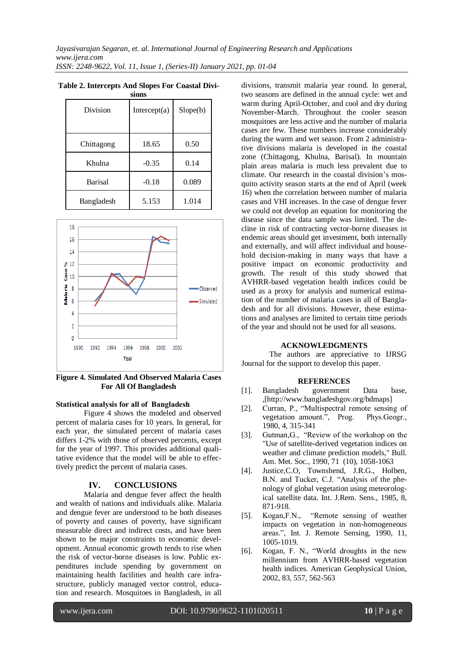| эгчиэ          |                 |          |  |  |  |  |
|----------------|-----------------|----------|--|--|--|--|
| Division       | Intercept $(a)$ | Slope(b) |  |  |  |  |
| Chittagong     | 18.65           | 0.50     |  |  |  |  |
| Khulna         | $-0.35$         | 0.14     |  |  |  |  |
| <b>Barisal</b> | $-0.18$         | 0.089    |  |  |  |  |
| Bangladesh     | 5.153           | 1.014    |  |  |  |  |

**Table 2. Intercepts And Slopes For Coastal Divisions**



**Figure 4. Simulated And Observed Malaria Cases For All Of Bangladesh**

## **Statistical analysis for all of Bangladesh**

Figure 4 shows the modeled and observed percent of malaria cases for 10 years. In general, for each year, the simulated percent of malaria cases differs 1-2% with those of observed percents, except for the year of 1997. This provides additional qualitative evidence that the model will be able to effectively predict the percent of malaria cases.

### **IV. CONCLUSIONS**

Malaria and dengue fever affect the health and wealth of nations and individuals alike. Malaria and dengue fever are understood to be both diseases of poverty and causes of poverty, have significant measurable direct and indirect costs, and have been shown to be major constraints to economic development. Annual economic growth tends to rise when the risk of vector-borne diseases is low. Public expenditures include spending by government on maintaining health facilities and health care infrastructure, publicly managed vector control, education and research. Mosquitoes in Bangladesh, in all

divisions, transmit malaria year round. In general, two seasons are defined in the annual cycle: wet and warm during April-October, and cool and dry during November-March. Throughout the cooler season mosquitoes are less active and the number of malaria cases are few. These numbers increase considerably during the warm and wet season. From 2 administrative divisions malaria is developed in the coastal zone (Chittagong, Khulna, Barisal). In mountain plain areas malaria is much less prevalent due to climate. Our research in the coastal division's mosquito activity season starts at the end of April (week 16) when the correlation between number of malaria cases and VHI increases. In the case of dengue fever we could not develop an equation for monitoring the disease since the data sample was limited. The decline in risk of contracting vector-borne diseases in endemic areas should get investment, both internally and externally, and will affect individual and household decision-making in many ways that have a positive impact on economic productivity and growth. The result of this study showed that AVHRR-based vegetation health indices could be used as a proxy for analysis and numerical estimation of the number of malaria cases in all of Bangladesh and for all divisions. However, these estimations and analyses are limited to certain time periods of the year and should not be used for all seasons.

#### **ACKNOWLEDGMENTS**

The authors are appreciative to IJRSG Journal for the support to develop this paper.

#### **REFERENCES**

- [1]. Bangladesh government Data base, ,[http://www.bangladeshgov.org/bdmaps]
- [2]. Curran, P., "Multispectral remote sensing of vegetation amount.", Prog. Phys.Geogr., 1980, 4, 315-341
- [3]. Gutman,G., "Review of the workshop on the "Use of satellite-derived vegetation indices on weather and climate prediction models," Bull. Am. Met. Soc., 1990, 71 (10), 1058-1063
- [4]. Justice,C.O, Townshend, J.R.G., Holben, B.N. and Tucker, C.J. "Analysis of the phenology of global vegetation using meteorological satellite data. Int. J.Rem. Sens., 1985, 8, 871-918.<br>Kogan, F.N.,
- [5]. Kogan,F.N., "Remote sensing of weather impacts on vegetation in non-homogeneous areas.", Int. J. Remote Sensing, 1990, 11, 1005-1019.
- [6]. Kogan, F. N., "World droughts in the new millennium from AVHRR-based vegetation health indices. American Geophysical Union, 2002, 83, 557, 562-563